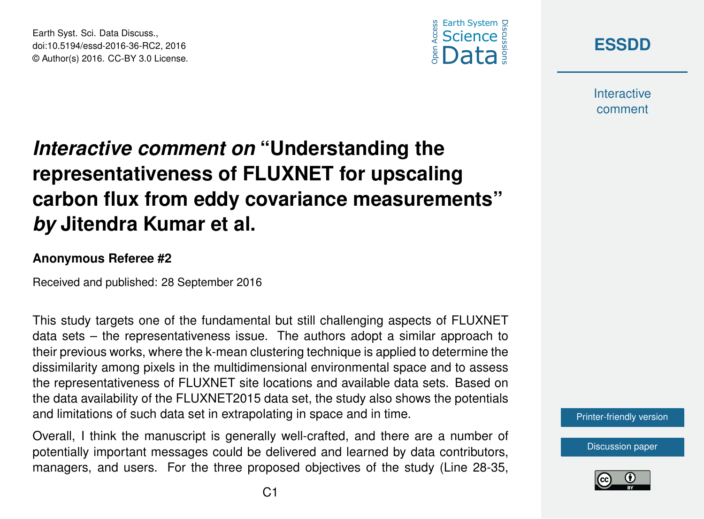





**Interactive** comment

# *Interactive comment on* **"Understanding the representativeness of FLUXNET for upscaling carbon flux from eddy covariance measurements"** *by* **Jitendra Kumar et al.**

### **Anonymous Referee #2**

Received and published: 28 September 2016

This study targets one of the fundamental but still challenging aspects of FLUXNET data sets – the representativeness issue. The authors adopt a similar approach to their previous works, where the k-mean clustering technique is applied to determine the dissimilarity among pixels in the multidimensional environmental space and to assess the representativeness of FLUXNET site locations and available data sets. Based on the data availability of the FLUXNET2015 data set, the study also shows the potentials and limitations of such data set in extrapolating in space and in time.

Overall, I think the manuscript is generally well-crafted, and there are a number of potentially important messages could be delivered and learned by data contributors, managers, and users. For the three proposed objectives of the study (Line 28-35, [Printer-friendly version](http://www.earth-syst-sci-data-discuss.net/essd-2016-36/essd-2016-36-RC2-print.pdf)

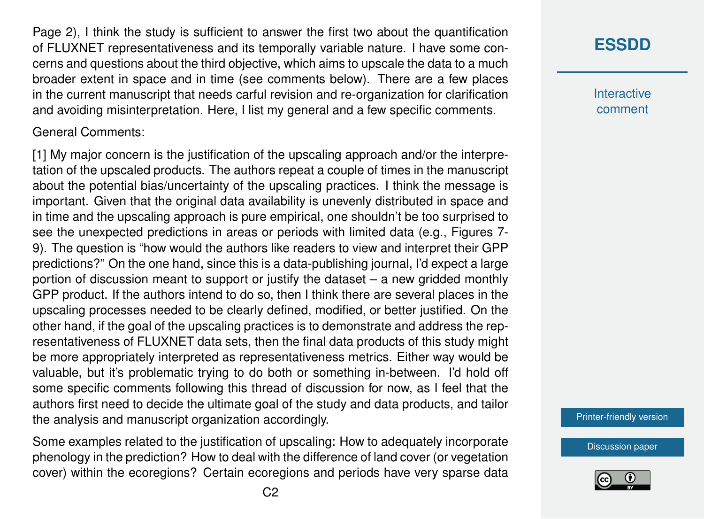Page 2), I think the study is sufficient to answer the first two about the quantification of FLUXNET representativeness and its temporally variable nature. I have some concerns and questions about the third objective, which aims to upscale the data to a much broader extent in space and in time (see comments below). There are a few places in the current manuscript that needs carful revision and re-organization for clarification and avoiding misinterpretation. Here, I list my general and a few specific comments.

### General Comments:

[1] My major concern is the justification of the upscaling approach and/or the interpretation of the upscaled products. The authors repeat a couple of times in the manuscript about the potential bias/uncertainty of the upscaling practices. I think the message is important. Given that the original data availability is unevenly distributed in space and in time and the upscaling approach is pure empirical, one shouldn't be too surprised to see the unexpected predictions in areas or periods with limited data (e.g., Figures 7-9). The question is "how would the authors like readers to view and interpret their GPP predictions?" On the one hand, since this is a data-publishing journal, I'd expect a large portion of discussion meant to support or justify the dataset – a new gridded monthly GPP product. If the authors intend to do so, then I think there are several places in the upscaling processes needed to be clearly defined, modified, or better justified. On the other hand, if the goal of the upscaling practices is to demonstrate and address the representativeness of FLUXNET data sets, then the final data products of this study might be more appropriately interpreted as representativeness metrics. Either way would be valuable, but it's problematic trying to do both or something in-between. I'd hold off some specific comments following this thread of discussion for now, as I feel that the authors first need to decide the ultimate goal of the study and data products, and tailor the analysis and manuscript organization accordingly.

Some examples related to the justification of upscaling: How to adequately incorporate phenology in the prediction? How to deal with the difference of land cover (or vegetation cover) within the ecoregions? Certain ecoregions and periods have very sparse data

## **[ESSDD](http://www.earth-syst-sci-data-discuss.net/)**

**Interactive** comment

[Printer-friendly version](http://www.earth-syst-sci-data-discuss.net/essd-2016-36/essd-2016-36-RC2-print.pdf)

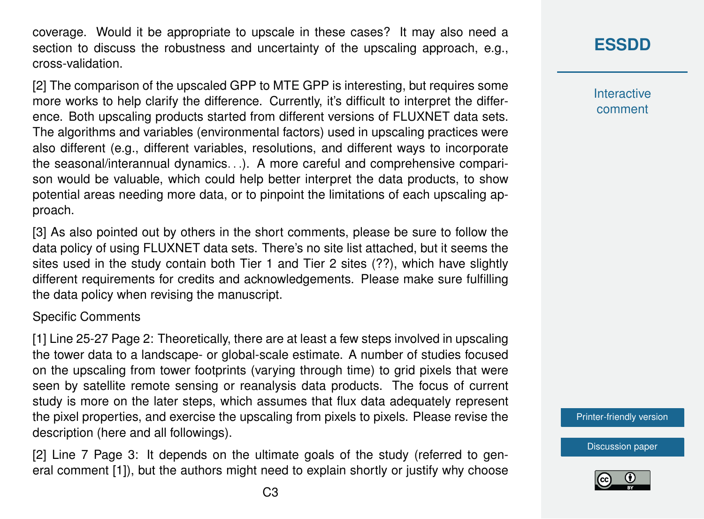coverage. Would it be appropriate to upscale in these cases? It may also need a section to discuss the robustness and uncertainty of the upscaling approach, e.g., cross-validation.

[2] The comparison of the upscaled GPP to MTE GPP is interesting, but requires some more works to help clarify the difference. Currently, it's difficult to interpret the difference. Both upscaling products started from different versions of FLUXNET data sets. The algorithms and variables (environmental factors) used in upscaling practices were also different (e.g., different variables, resolutions, and different ways to incorporate the seasonal/interannual dynamics. . .). A more careful and comprehensive comparison would be valuable, which could help better interpret the data products, to show potential areas needing more data, or to pinpoint the limitations of each upscaling approach.

[3] As also pointed out by others in the short comments, please be sure to follow the data policy of using FLUXNET data sets. There's no site list attached, but it seems the sites used in the study contain both Tier 1 and Tier 2 sites (??), which have slightly different requirements for credits and acknowledgements. Please make sure fulfilling the data policy when revising the manuscript.

#### Specific Comments

[1] Line 25-27 Page 2: Theoretically, there are at least a few steps involved in upscaling the tower data to a landscape- or global-scale estimate. A number of studies focused on the upscaling from tower footprints (varying through time) to grid pixels that were seen by satellite remote sensing or reanalysis data products. The focus of current study is more on the later steps, which assumes that flux data adequately represent the pixel properties, and exercise the upscaling from pixels to pixels. Please revise the description (here and all followings).

[2] Line 7 Page 3: It depends on the ultimate goals of the study (referred to general comment [1]), but the authors might need to explain shortly or justify why choose **[ESSDD](http://www.earth-syst-sci-data-discuss.net/)**

**Interactive** comment

[Printer-friendly version](http://www.earth-syst-sci-data-discuss.net/essd-2016-36/essd-2016-36-RC2-print.pdf)